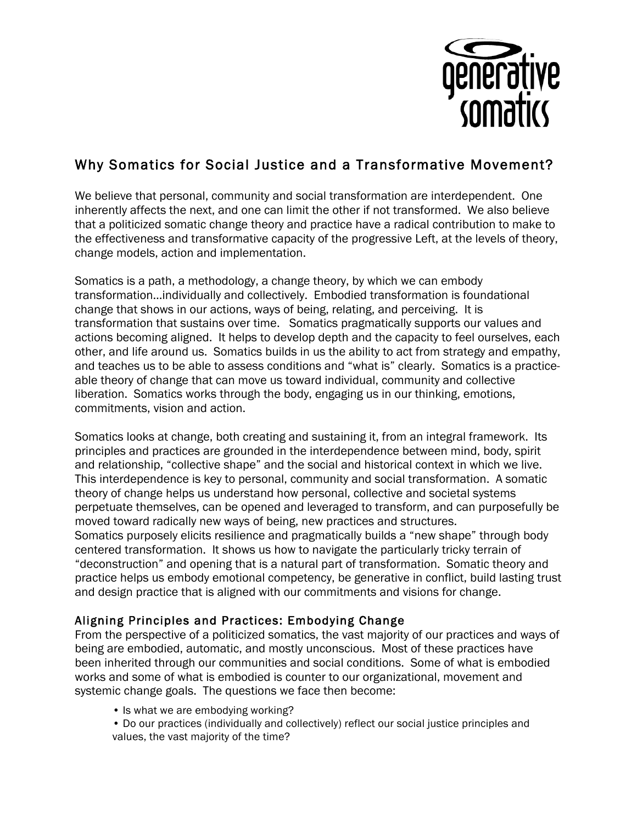

# Why Somatics for Social Justice and a Transformative Movement?

We believe that personal, community and social transformation are interdependent. One inherently affects the next, and one can limit the other if not transformed. We also believe that a politicized somatic change theory and practice have a radical contribution to make to the effectiveness and transformative capacity of the progressive Left, at the levels of theory, change models, action and implementation.

Somatics is a path, a methodology, a change theory, by which we can embody transformation…individually and collectively. Embodied transformation is foundational change that shows in our actions, ways of being, relating, and perceiving. It is transformation that sustains over time. Somatics pragmatically supports our values and actions becoming aligned. It helps to develop depth and the capacity to feel ourselves, each other, and life around us. Somatics builds in us the ability to act from strategy and empathy, and teaches us to be able to assess conditions and "what is" clearly. Somatics is a practiceable theory of change that can move us toward individual, community and collective liberation. Somatics works through the body, engaging us in our thinking, emotions, commitments, vision and action.

Somatics looks at change, both creating and sustaining it, from an integral framework. Its principles and practices are grounded in the interdependence between mind, body, spirit and relationship, "collective shape" and the social and historical context in which we live. This interdependence is key to personal, community and social transformation. A somatic theory of change helps us understand how personal, collective and societal systems perpetuate themselves, can be opened and leveraged to transform, and can purposefully be moved toward radically new ways of being, new practices and structures. Somatics purposely elicits resilience and pragmatically builds a "new shape" through body centered transformation. It shows us how to navigate the particularly tricky terrain of "deconstruction" and opening that is a natural part of transformation. Somatic theory and practice helps us embody emotional competency, be generative in conflict, build lasting trust and design practice that is aligned with our commitments and visions for change.

## Aligning Principles and Practices: Embodying Change

From the perspective of a politicized somatics, the vast majority of our practices and ways of being are embodied, automatic, and mostly unconscious. Most of these practices have been inherited through our communities and social conditions. Some of what is embodied works and some of what is embodied is counter to our organizational, movement and systemic change goals. The questions we face then become:

• Is what we are embodying working?

• Do our practices (individually and collectively) reflect our social justice principles and values, the vast majority of the time?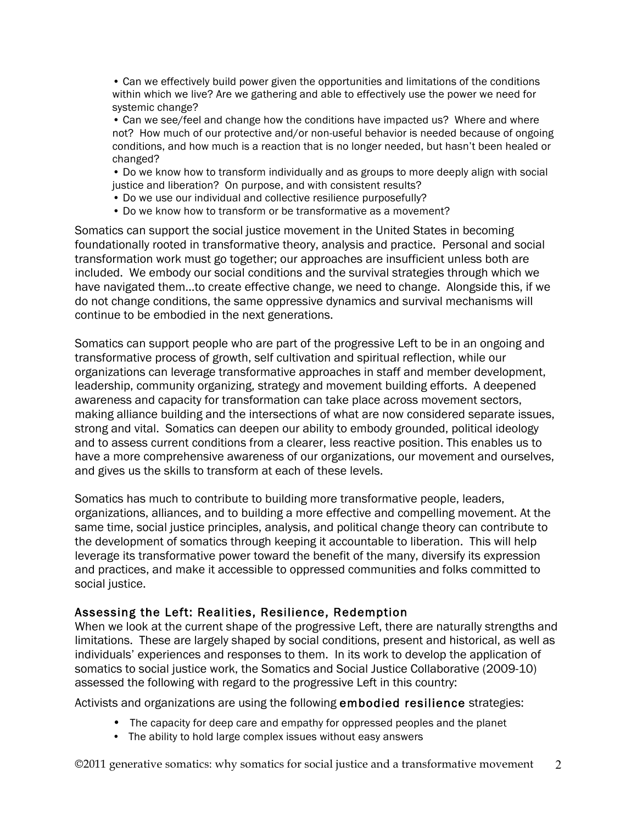• Can we effectively build power given the opportunities and limitations of the conditions within which we live? Are we gathering and able to effectively use the power we need for systemic change?

• Can we see/feel and change how the conditions have impacted us? Where and where not? How much of our protective and/or non-useful behavior is needed because of ongoing conditions, and how much is a reaction that is no longer needed, but hasn't been healed or changed?

• Do we know how to transform individually and as groups to more deeply align with social justice and liberation? On purpose, and with consistent results?

• Do we use our individual and collective resilience purposefully?

• Do we know how to transform or be transformative as a movement?

Somatics can support the social justice movement in the United States in becoming foundationally rooted in transformative theory, analysis and practice. Personal and social transformation work must go together; our approaches are insufficient unless both are included. We embody our social conditions and the survival strategies through which we have navigated them…to create effective change, we need to change. Alongside this, if we do not change conditions, the same oppressive dynamics and survival mechanisms will continue to be embodied in the next generations.

Somatics can support people who are part of the progressive Left to be in an ongoing and transformative process of growth, self cultivation and spiritual reflection, while our organizations can leverage transformative approaches in staff and member development, leadership, community organizing, strategy and movement building efforts. A deepened awareness and capacity for transformation can take place across movement sectors, making alliance building and the intersections of what are now considered separate issues, strong and vital. Somatics can deepen our ability to embody grounded, political ideology and to assess current conditions from a clearer, less reactive position. This enables us to have a more comprehensive awareness of our organizations, our movement and ourselves, and gives us the skills to transform at each of these levels.

Somatics has much to contribute to building more transformative people, leaders, organizations, alliances, and to building a more effective and compelling movement. At the same time, social justice principles, analysis, and political change theory can contribute to the development of somatics through keeping it accountable to liberation. This will help leverage its transformative power toward the benefit of the many, diversify its expression and practices, and make it accessible to oppressed communities and folks committed to social justice.

### Assessing the Left: Realities, Resilience, Redemption

When we look at the current shape of the progressive Left, there are naturally strengths and limitations. These are largely shaped by social conditions, present and historical, as well as individuals' experiences and responses to them. In its work to develop the application of somatics to social justice work, the Somatics and Social Justice Collaborative (2009-10) assessed the following with regard to the progressive Left in this country:

Activists and organizations are using the following embodied resilience strategies:

- The capacity for deep care and empathy for oppressed peoples and the planet
- The ability to hold large complex issues without easy answers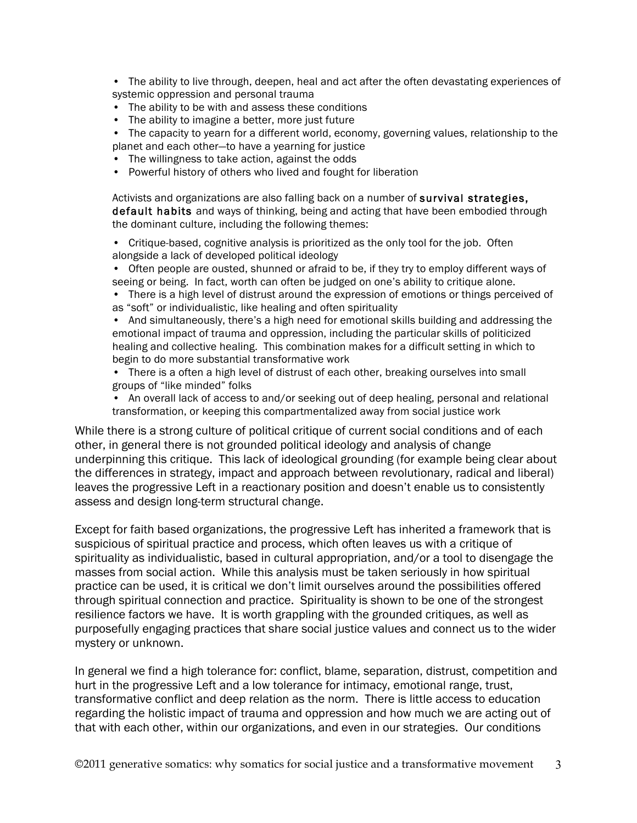- The ability to live through, deepen, heal and act after the often devastating experiences of systemic oppression and personal trauma
- The ability to be with and assess these conditions
- The ability to imagine a better, more just future
- The capacity to yearn for a different world, economy, governing values, relationship to the planet and each other—to have a yearning for justice
- The willingness to take action, against the odds
- Powerful history of others who lived and fought for liberation

Activists and organizations are also falling back on a number of survival strategies, default habits and ways of thinking, being and acting that have been embodied through the dominant culture, including the following themes:

• Critique-based, cognitive analysis is prioritized as the only tool for the job. Often alongside a lack of developed political ideology

• Often people are ousted, shunned or afraid to be, if they try to employ different ways of seeing or being. In fact, worth can often be judged on one's ability to critique alone.

• There is a high level of distrust around the expression of emotions or things perceived of as "soft" or individualistic, like healing and often spirituality

• And simultaneously, there's a high need for emotional skills building and addressing the emotional impact of trauma and oppression, including the particular skills of politicized healing and collective healing. This combination makes for a difficult setting in which to begin to do more substantial transformative work

• There is a often a high level of distrust of each other, breaking ourselves into small groups of "like minded" folks

• An overall lack of access to and/or seeking out of deep healing, personal and relational transformation, or keeping this compartmentalized away from social justice work

While there is a strong culture of political critique of current social conditions and of each other, in general there is not grounded political ideology and analysis of change underpinning this critique. This lack of ideological grounding (for example being clear about the differences in strategy, impact and approach between revolutionary, radical and liberal) leaves the progressive Left in a reactionary position and doesn't enable us to consistently assess and design long-term structural change.

Except for faith based organizations, the progressive Left has inherited a framework that is suspicious of spiritual practice and process, which often leaves us with a critique of spirituality as individualistic, based in cultural appropriation, and/or a tool to disengage the masses from social action. While this analysis must be taken seriously in how spiritual practice can be used, it is critical we don't limit ourselves around the possibilities offered through spiritual connection and practice. Spirituality is shown to be one of the strongest resilience factors we have. It is worth grappling with the grounded critiques, as well as purposefully engaging practices that share social justice values and connect us to the wider mystery or unknown.

In general we find a high tolerance for: conflict, blame, separation, distrust, competition and hurt in the progressive Left and a low tolerance for intimacy, emotional range, trust, transformative conflict and deep relation as the norm. There is little access to education regarding the holistic impact of trauma and oppression and how much we are acting out of that with each other, within our organizations, and even in our strategies. Our conditions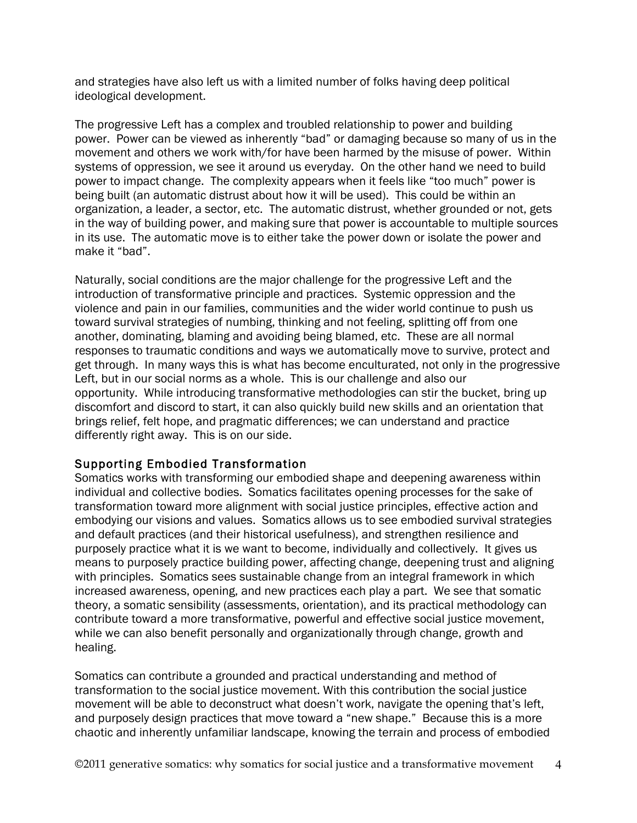and strategies have also left us with a limited number of folks having deep political ideological development.

The progressive Left has a complex and troubled relationship to power and building power. Power can be viewed as inherently "bad" or damaging because so many of us in the movement and others we work with/for have been harmed by the misuse of power. Within systems of oppression, we see it around us everyday. On the other hand we need to build power to impact change. The complexity appears when it feels like "too much" power is being built (an automatic distrust about how it will be used). This could be within an organization, a leader, a sector, etc. The automatic distrust, whether grounded or not, gets in the way of building power, and making sure that power is accountable to multiple sources in its use. The automatic move is to either take the power down or isolate the power and make it "bad".

Naturally, social conditions are the major challenge for the progressive Left and the introduction of transformative principle and practices. Systemic oppression and the violence and pain in our families, communities and the wider world continue to push us toward survival strategies of numbing, thinking and not feeling, splitting off from one another, dominating, blaming and avoiding being blamed, etc. These are all normal responses to traumatic conditions and ways we automatically move to survive, protect and get through. In many ways this is what has become enculturated, not only in the progressive Left, but in our social norms as a whole. This is our challenge and also our opportunity. While introducing transformative methodologies can stir the bucket, bring up discomfort and discord to start, it can also quickly build new skills and an orientation that brings relief, felt hope, and pragmatic differences; we can understand and practice differently right away. This is on our side.

### Supporting Embodied Transformation

Somatics works with transforming our embodied shape and deepening awareness within individual and collective bodies. Somatics facilitates opening processes for the sake of transformation toward more alignment with social justice principles, effective action and embodying our visions and values. Somatics allows us to see embodied survival strategies and default practices (and their historical usefulness), and strengthen resilience and purposely practice what it is we want to become, individually and collectively. It gives us means to purposely practice building power, affecting change, deepening trust and aligning with principles. Somatics sees sustainable change from an integral framework in which increased awareness, opening, and new practices each play a part. We see that somatic theory, a somatic sensibility (assessments, orientation), and its practical methodology can contribute toward a more transformative, powerful and effective social justice movement, while we can also benefit personally and organizationally through change, growth and healing.

Somatics can contribute a grounded and practical understanding and method of transformation to the social justice movement. With this contribution the social justice movement will be able to deconstruct what doesn't work, navigate the opening that's left, and purposely design practices that move toward a "new shape." Because this is a more chaotic and inherently unfamiliar landscape, knowing the terrain and process of embodied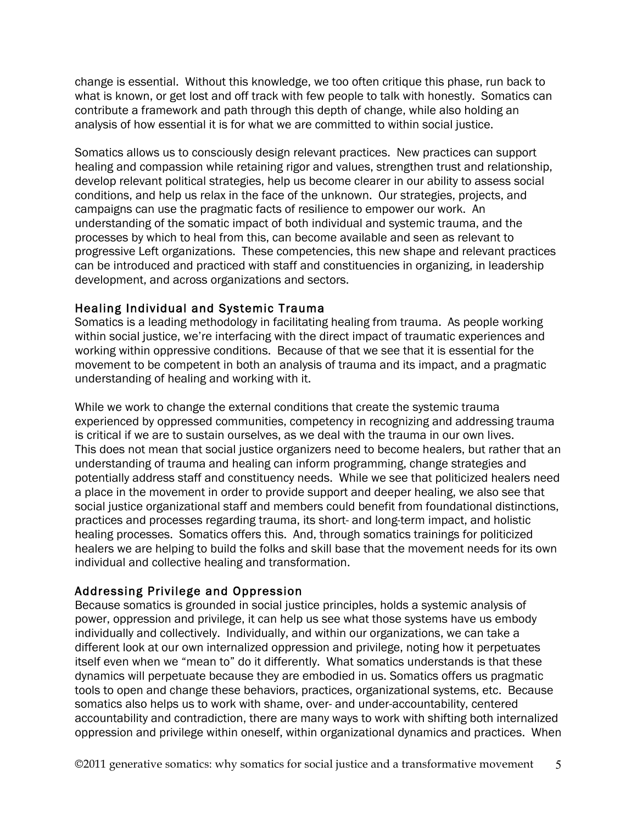change is essential. Without this knowledge, we too often critique this phase, run back to what is known, or get lost and off track with few people to talk with honestly. Somatics can contribute a framework and path through this depth of change, while also holding an analysis of how essential it is for what we are committed to within social justice.

Somatics allows us to consciously design relevant practices. New practices can support healing and compassion while retaining rigor and values, strengthen trust and relationship, develop relevant political strategies, help us become clearer in our ability to assess social conditions, and help us relax in the face of the unknown. Our strategies, projects, and campaigns can use the pragmatic facts of resilience to empower our work. An understanding of the somatic impact of both individual and systemic trauma, and the processes by which to heal from this, can become available and seen as relevant to progressive Left organizations. These competencies, this new shape and relevant practices can be introduced and practiced with staff and constituencies in organizing, in leadership development, and across organizations and sectors.

### Healing Individual and Systemic Trauma

Somatics is a leading methodology in facilitating healing from trauma. As people working within social justice, we're interfacing with the direct impact of traumatic experiences and working within oppressive conditions. Because of that we see that it is essential for the movement to be competent in both an analysis of trauma and its impact, and a pragmatic understanding of healing and working with it.

While we work to change the external conditions that create the systemic trauma experienced by oppressed communities, competency in recognizing and addressing trauma is critical if we are to sustain ourselves, as we deal with the trauma in our own lives. This does not mean that social justice organizers need to become healers, but rather that an understanding of trauma and healing can inform programming, change strategies and potentially address staff and constituency needs. While we see that politicized healers need a place in the movement in order to provide support and deeper healing, we also see that social justice organizational staff and members could benefit from foundational distinctions, practices and processes regarding trauma, its short- and long-term impact, and holistic healing processes. Somatics offers this. And, through somatics trainings for politicized healers we are helping to build the folks and skill base that the movement needs for its own individual and collective healing and transformation.

### Addressing Privilege and Oppression

Because somatics is grounded in social justice principles, holds a systemic analysis of power, oppression and privilege, it can help us see what those systems have us embody individually and collectively. Individually, and within our organizations, we can take a different look at our own internalized oppression and privilege, noting how it perpetuates itself even when we "mean to" do it differently. What somatics understands is that these dynamics will perpetuate because they are embodied in us. Somatics offers us pragmatic tools to open and change these behaviors, practices, organizational systems, etc. Because somatics also helps us to work with shame, over- and under-accountability, centered accountability and contradiction, there are many ways to work with shifting both internalized oppression and privilege within oneself, within organizational dynamics and practices. When